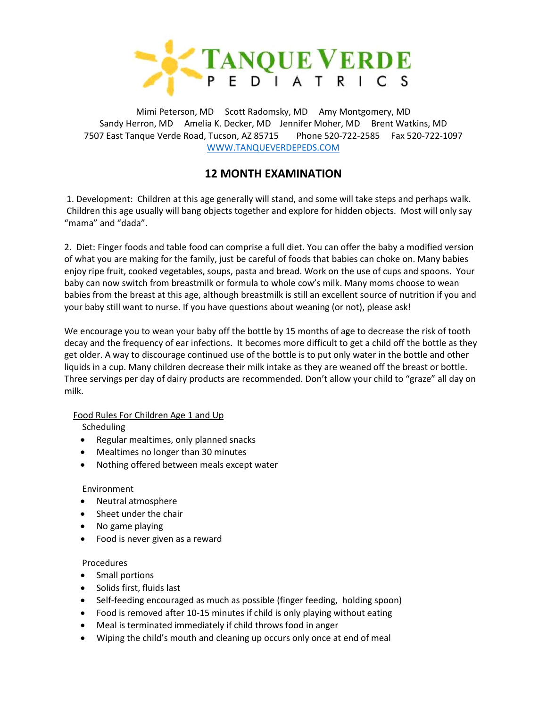

Mimi Peterson, MD Scott Radomsky, MD Amy Montgomery, MD Sandy Herron, MD Amelia K. Decker, MD Jennifer Moher, MD Brent Watkins, MD 7507 East Tanque Verde Road, Tucson, AZ 85715 Phone 520-722-2585 Fax 520-722-1097 [WWW.TANQUEVERDEPEDS.COM](http://www.tanqueverdepeds.com/)

# **12 MONTH EXAMINATION**

1. Development: Children at this age generally will stand, and some will take steps and perhaps walk. Children this age usually will bang objects together and explore for hidden objects. Most will only say "mama" and "dada".

2. Diet: Finger foods and table food can comprise a full diet. You can offer the baby a modified version of what you are making for the family, just be careful of foods that babies can choke on. Many babies enjoy ripe fruit, cooked vegetables, soups, pasta and bread. Work on the use of cups and spoons. Your baby can now switch from breastmilk or formula to whole cow's milk. Many moms choose to wean babies from the breast at this age, although breastmilk is still an excellent source of nutrition if you and your baby still want to nurse. If you have questions about weaning (or not), please ask!

We encourage you to wean your baby off the bottle by 15 months of age to decrease the risk of tooth decay and the frequency of ear infections. It becomes more difficult to get a child off the bottle as they get older. A way to discourage continued use of the bottle is to put only water in the bottle and other liquids in a cup. Many children decrease their milk intake as they are weaned off the breast or bottle. Three servings per day of dairy products are recommended. Don't allow your child to "graze" all day on milk.

## Food Rules For Children Age 1 and Up

Scheduling

- Regular mealtimes, only planned snacks
- Mealtimes no longer than 30 minutes
- Nothing offered between meals except water

### Environment

- Neutral atmosphere
- Sheet under the chair
- No game playing
- Food is never given as a reward

## Procedures

- Small portions
- Solids first, fluids last
- Self-feeding encouraged as much as possible (finger feeding, holding spoon)
- Food is removed after 10-15 minutes if child is only playing without eating
- Meal is terminated immediately if child throws food in anger
- Wiping the child's mouth and cleaning up occurs only once at end of meal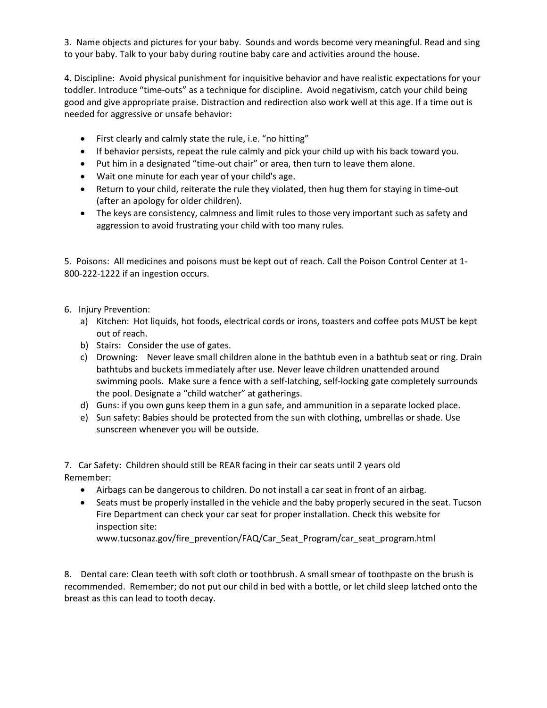3. Name objects and pictures for your baby. Sounds and words become very meaningful. Read and sing to your baby. Talk to your baby during routine baby care and activities around the house.

4. Discipline: Avoid physical punishment for inquisitive behavior and have realistic expectations for your toddler. Introduce "time-outs" as a technique for discipline. Avoid negativism, catch your child being good and give appropriate praise. Distraction and redirection also work well at this age. If a time out is needed for aggressive or unsafe behavior:

- First clearly and calmly state the rule, i.e. "no hitting"
- If behavior persists, repeat the rule calmly and pick your child up with his back toward you.
- Put him in a designated "time-out chair" or area, then turn to leave them alone.
- Wait one minute for each year of your child's age.
- Return to your child, reiterate the rule they violated, then hug them for staying in time-out (after an apology for older children).
- The keys are consistency, calmness and limit rules to those very important such as safety and aggression to avoid frustrating your child with too many rules.

5. Poisons: All medicines and poisons must be kept out of reach. Call the Poison Control Center at 1- 800-222-1222 if an ingestion occurs.

- 6. Injury Prevention:
	- a) Kitchen: Hot liquids, hot foods, electrical cords or irons, toasters and coffee pots MUST be kept out of reach.
	- b) Stairs: Consider the use of gates.
	- c) Drowning: Never leave small children alone in the bathtub even in a bathtub seat or ring. Drain bathtubs and buckets immediately after use. Never leave children unattended around swimming pools. Make sure a fence with a self-latching, self-locking gate completely surrounds the pool. Designate a "child watcher" at gatherings.
	- d) Guns: if you own guns keep them in a gun safe, and ammunition in a separate locked place.
	- e) Sun safety: Babies should be protected from the sun with clothing, umbrellas or shade. Use sunscreen whenever you will be outside.

7. Car Safety: Children should still be REAR facing in their car seats until 2 years old Remember:

- Airbags can be dangerous to children. Do not install a car seat in front of an airbag.
- Seats must be properly installed in the vehicle and the baby properly secured in the seat. Tucson Fire Department can check your car seat for proper installation. Check this website for inspection site:

[www.tucsonaz.gov/fire\\_prevention/FAQ/Car\\_Seat\\_Program/car\\_seat\\_program.html](http://www.tucsonaz.gov/fire_prevention/FAQ/Car_Seat_Program/car_seat_program.html)

8. Dental care: Clean teeth with soft cloth or toothbrush. A small smear of toothpaste on the brush is recommended. Remember; do not put our child in bed with a bottle, or let child sleep latched onto the breast as this can lead to tooth decay.